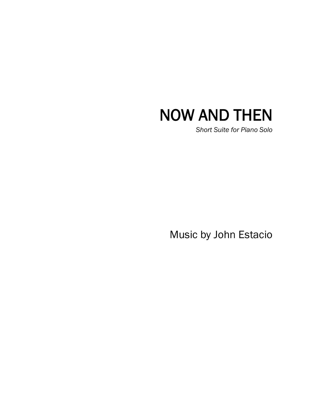

*Short Suite for Piano Solo*

Music by John Estacio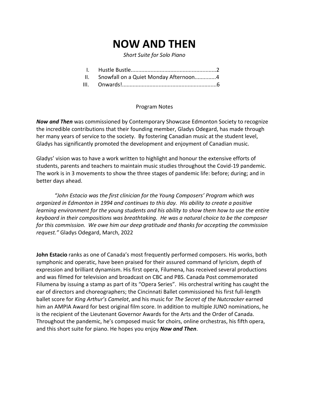## **NOW AND THEN**

*Short Suite for Solo Piano*

| II. Snowfall on a Quiet Monday Afternoon4 |  |
|-------------------------------------------|--|
|                                           |  |

#### Program Notes

*Now and Then* was commissioned by Contemporary Showcase Edmonton Society to recognize the incredible contributions that their founding member, Gladys Odegard, has made through her many years of service to the society. By fostering Canadian music at the student level, Gladys has significantly promoted the development and enjoyment of Canadian music.

Gladys' vision was to have a work written to highlight and honour the extensive efforts of students, parents and teachers to maintain music studies throughout the Covid-19 pandemic. The work is in 3 movements to show the three stages of pandemic life: before; during; and in better days ahead.

*"John Estacio was the first clinician for the Young Composers' Program which was organized in Edmonton in 1994 and continues to this day. His ability to create a positive learning environment for the young students and his ability to show them how to use the entire keyboard in their compositions was breathtaking. He was a natural choice to be the composer for this commission. We owe him our deep gratitude and thanks for accepting the commission request."* Gladys Odegard, March, 2022

**John Estacio** ranks as one of Canada's most frequently performed composers. His works, both symphonic and operatic, have been praised for their assured command of lyricism, depth of expression and brilliant dynamism. His first opera, Filumena, has received several productions and was filmed for television and broadcast on CBC and PBS. Canada Post commemorated Filumena by issuing a stamp as part of its "Opera Series". His orchestral writing has caught the ear of directors and choreographers; the Cincinnati Ballet commissioned his first full-length ballet score for *King Arthur's Camelot*, and his music for *The Secret of the Nutcracker* earned him an AMPIA Award for best original film score. In addition to multiple JUNO nominations, he is the recipient of the Lieutenant Governor Awards for the Arts and the Order of Canada. Throughout the pandemic, he's composed music for choirs, online orchestras, his fifth opera, and this short suite for piano. He hopes you enjoy *Now and Then*.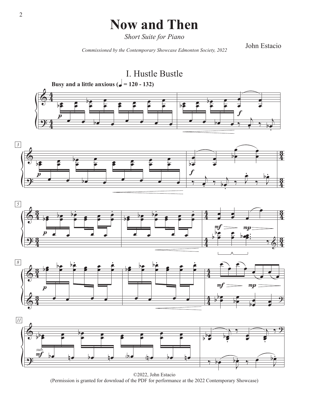# **Now and Then**

*Short Suite for Piano*

*Commissioned by the Contemporary Showcase Edmonton Society, 2022*

John Estacio



<sup>©2022,</sup> John Estacio (Permission is granted for download of the PDF for performance at the 2022 Contemporary Showcase)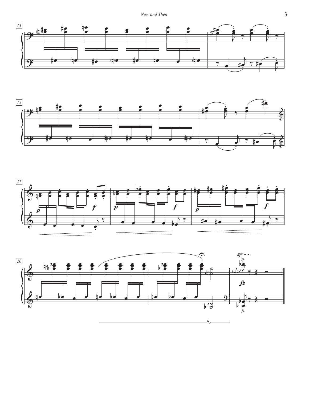





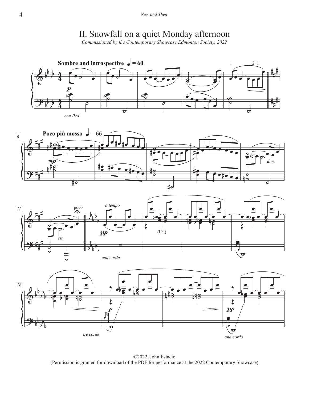### II. Snowfall on a quiet Monday afternoon

*Commissioned by the Contemporary Showcase Edmonton Society, 2022*









©2022, John Estacio (Permission is granted for download of the PDF for performance at the 2022 Contemporary Showcase)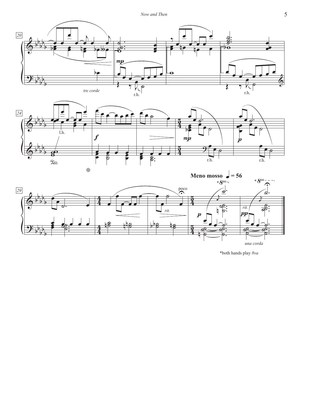





\*both hands play *8va*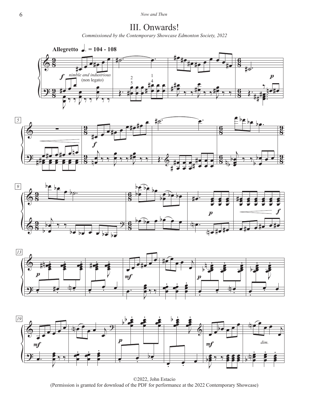### III. Onwards!

*Commissioned by the Contemporary Showcase Edmonton Society, 2022*











©2022, John Estacio (Permission is granted for download of the PDF for performance at the 2022 Contemporary Showcase)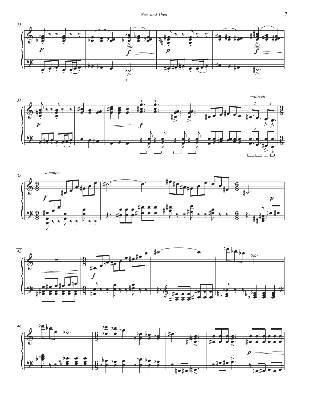